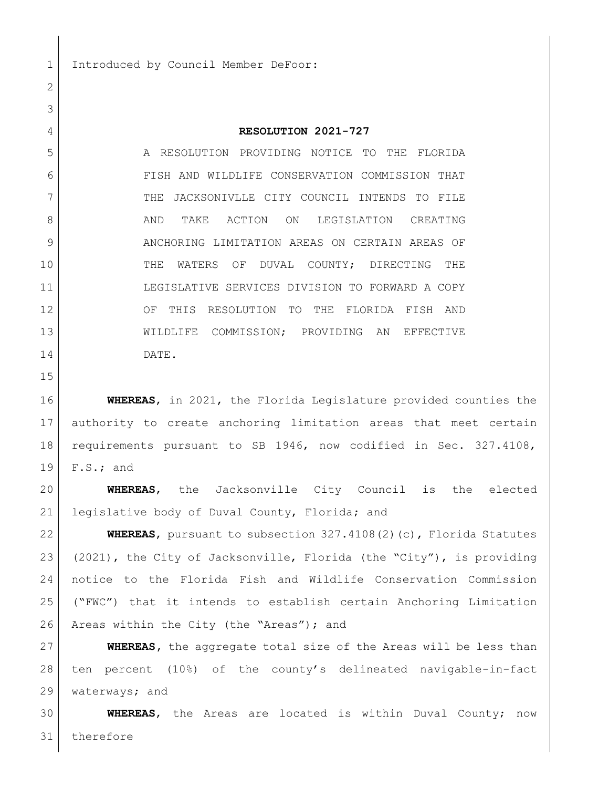1 Introduced by Council Member DeFoor:

## **RESOLUTION 2021-727**

 A RESOLUTION PROVIDING NOTICE TO THE FLORIDA FISH AND WILDLIFE CONSERVATION COMMISSION THAT 7 THE JACKSONIVLLE CITY COUNCIL INTENDS TO FILE 8 AND TAKE ACTION ON LEGISLATION CREATING 9 | ANCHORING LIMITATION AREAS ON CERTAIN AREAS OF THE WATERS OF DUVAL COUNTY; DIRECTING THE LEGISLATIVE SERVICES DIVISION TO FORWARD A COPY OF THIS RESOLUTION TO THE FLORIDA FISH AND WILDLIFE COMMISSION; PROVIDING AN EFFECTIVE DATE.

 **WHEREAS**, in 2021, the Florida Legislature provided counties the authority to create anchoring limitation areas that meet certain requirements pursuant to SB 1946, now codified in Sec. 327.4108, F.S.; and

 **WHEREAS**, the Jacksonville City Council is the elected 21 legislative body of Duval County, Florida; and

 **WHEREAS**, pursuant to subsection 327.4108(2)(c), Florida Statutes (2021), the City of Jacksonville, Florida (the "City"), is providing notice to the Florida Fish and Wildlife Conservation Commission ("FWC") that it intends to establish certain Anchoring Limitation 26 Areas within the City (the "Areas"); and

 **WHEREAS,** the aggregate total size of the Areas will be less than ten percent (10%) of the county's delineated navigable-in-fact 29 | waterways; and

 **WHEREAS**, the Areas are located is within Duval County; now therefore